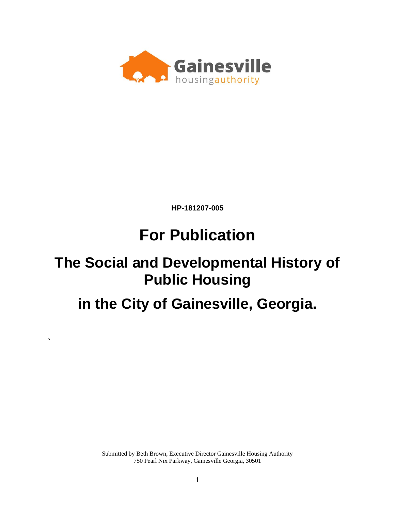

**HP-181207-005**

# **For Publication**

## **The Social and Developmental History of Public Housing**

**in the City of Gainesville, Georgia.**

**`**

Submitted by Beth Brown, Executive Director Gainesville Housing Authority 750 Pearl Nix Parkway, Gainesville Georgia, 30501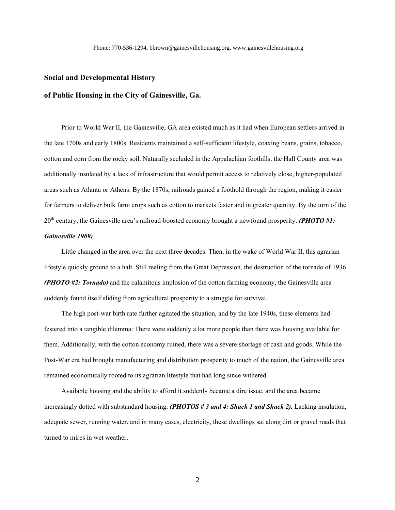#### **Social and Developmental History**

#### **of Public Housing in the City of Gainesville, Ga.**

Prior to World War II, the Gainesville, GA area existed much as it had when European settlers arrived in the late 1700s and early 1800s. Residents maintained a self-sufficient lifestyle, coaxing beans, grains, tobacco, cotton and corn from the rocky soil. Naturally secluded in the Appalachian foothills, the Hall County area was additionally insulated by a lack of infrastructure that would permit access to relatively close, higher-populated areas such as Atlanta or Athens. By the 1870s, railroads gained a foothold through the region, making it easier for farmers to deliver bulk farm crops such as cotton to markets faster and in greater quantity. By the turn of the 20th century, the Gainesville area's railroad-boosted economy brought a newfound prosperity. *(PHOTO #1: Gainesville 1909)*.

Little changed in the area over the next three decades. Then, in the wake of World War II, this agrarian lifestyle quickly ground to a halt. Still reeling from the Great Depression, the destruction of the tornado of 1936 *(PHOTO #2: Tornado)* and the calamitous implosion of the cotton farming economy, the Gainesville area suddenly found itself sliding from agricultural prosperity to a struggle for survival.

The high post-war birth rate further agitated the situation, and by the late 1940s, these elements had festered into a tangible dilemma: There were suddenly a lot more people than there was housing available for them. Additionally, with the cotton economy ruined, there was a severe shortage of cash and goods. While the Post-War era had brought manufacturing and distribution prosperity to much of the nation, the Gainesville area remained economically rooted to its agrarian lifestyle that had long since withered.

Available housing and the ability to afford it suddenly became a dire issue, and the area became increasingly dotted with substandard housing. *(PHOTOS # 3 and 4: Shack 1 and Shack 2).* Lacking insulation, adequate sewer, running water, and in many cases, electricity, these dwellings sat along dirt or gravel roads that turned to mires in wet weather.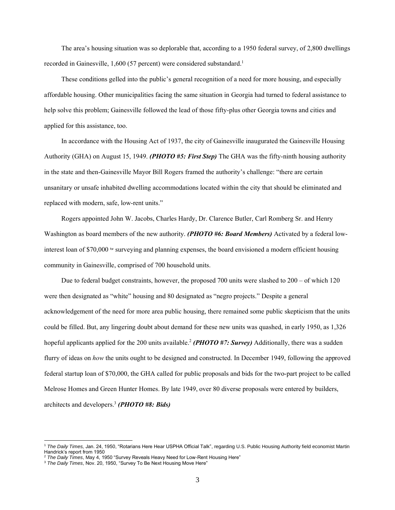The area's housing situation was so deplorable that, according to a 1950 federal survey, of 2,800 dwellings recorded in Gainesville, 1,600 (57 percent) were considered substandard.<sup>1</sup>

These conditions gelled into the public's general recognition of a need for more housing, and especially affordable housing. Other municipalities facing the same situation in Georgia had turned to federal assistance to help solve this problem; Gainesville followed the lead of those fifty-plus other Georgia towns and cities and applied for this assistance, too.

In accordance with the Housing Act of 1937, the city of Gainesville inaugurated the Gainesville Housing Authority (GHA) on August 15, 1949. *(PHOTO #5: First Step)* The GHA was the fifty-ninth housing authority in the state and then-Gainesville Mayor Bill Rogers framed the authority's challenge: "there are certain unsanitary or unsafe inhabited dwelling accommodations located within the city that should be eliminated and replaced with modern, safe, low-rent units."

Rogers appointed John W. Jacobs, Charles Hardy, Dr. Clarence Butler, Carl Romberg Sr. and Henry Washington as board members of the new authority. *(PHOTO #6: Board Members)* Activated by a federal lowinterest loan of \$70,000  $\sigma$  surveying and planning expenses, the board envisioned a modern efficient housing community in Gainesville, comprised of 700 household units.

Due to federal budget constraints, however, the proposed 700 units were slashed to 200 – of which 120 were then designated as "white" housing and 80 designated as "negro projects." Despite a general acknowledgement of the need for more area public housing, there remained some public skepticism that the units could be filled. But, any lingering doubt about demand for these new units was quashed, in early 1950, as 1,326 hopeful applicants applied for the 200 units available.<sup>2</sup> *(PHOTO #7: Survey)* Additionally, there was a sudden flurry of ideas on *how* the units ought to be designed and constructed. In December 1949, following the approved federal startup loan of \$70,000, the GHA called for public proposals and bids for the two-part project to be called Melrose Homes and Green Hunter Homes. By late 1949, over 80 diverse proposals were entered by builders, architects and developers. 3 *(PHOTO #8: Bids)*

<sup>1</sup> *The Daily Times,* Jan. 24, 1950, "Rotarians Here Hear USPHA Official Talk", regarding U.S. Public Housing Authority field economist Martin Handrick's report from 1950

<sup>2</sup> *The Daily Times*, May 4, 1950 "Survey Reveals Heavy Need for Low-Rent Housing Here"

<sup>3</sup> *The Daily Times*, Nov. 20, 1950, "Survey To Be Next Housing Move Here"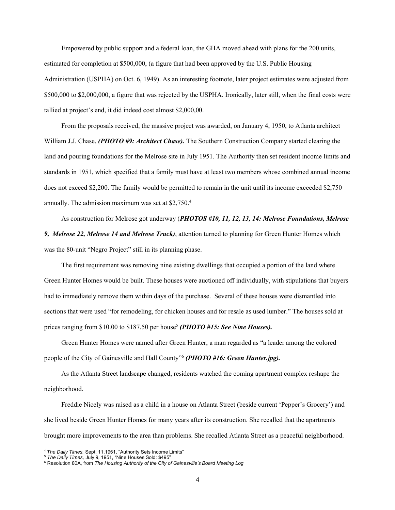Empowered by public support and a federal loan, the GHA moved ahead with plans for the 200 units, estimated for completion at \$500,000, (a figure that had been approved by the U.S. Public Housing Administration (USPHA) on Oct. 6, 1949). As an interesting footnote, later project estimates were adjusted from \$500,000 to \$2,000,000, a figure that was rejected by the USPHA. Ironically, later still, when the final costs were tallied at project's end, it did indeed cost almost \$2,000,00.

From the proposals received, the massive project was awarded, on January 4, 1950, to Atlanta architect William J.J. Chase, *(PHOTO #9: Architect Chase).* The Southern Construction Company started clearing the land and pouring foundations for the Melrose site in July 1951. The Authority then set resident income limits and standards in 1951, which specified that a family must have at least two members whose combined annual income does not exceed \$2,200. The family would be permitted to remain in the unit until its income exceeded \$2,750 annually. The admission maximum was set at \$2,750.<sup>4</sup>

As construction for Melrose got underway (*PHOTOS #10, 11, 12, 13, 14: Melrose Foundations, Melrose 9, Melrose 22, Melrose 14 and Melrose Truck)*, attention turned to planning for Green Hunter Homes which was the 80-unit "Negro Project" still in its planning phase.

The first requirement was removing nine existing dwellings that occupied a portion of the land where Green Hunter Homes would be built. These houses were auctioned off individually, with stipulations that buyers had to immediately remove them within days of the purchase. Several of these houses were dismantled into sections that were used "for remodeling, for chicken houses and for resale as used lumber." The houses sold at prices ranging from \$10.00 to \$187.50 per house<sup>5</sup> (PHOTO #15: See Nine Houses).

Green Hunter Homes were named after Green Hunter, a man regarded as "a leader among the colored people of the City of Gainesville and Hall County" 6 *(PHOTO #16: Green Hunter.jpg).*

As the Atlanta Street landscape changed, residents watched the coming apartment complex reshape the neighborhood.

Freddie Nicely was raised as a child in a house on Atlanta Street (beside current 'Pepper's Grocery') and she lived beside Green Hunter Homes for many years after its construction. She recalled that the apartments brought more improvements to the area than problems. She recalled Atlanta Street as a peaceful neighborhood.

<sup>4</sup> *The Daily Times,* Sept. 11,1951, "Authority Sets Income Limits"

<sup>5</sup> *The Daily Times,* July 9, 1951, "Nine Houses Sold: \$495"

<sup>6</sup> Resolution 80A, from *The Housing Authority of the City of Gainesville's Board Meeting Log*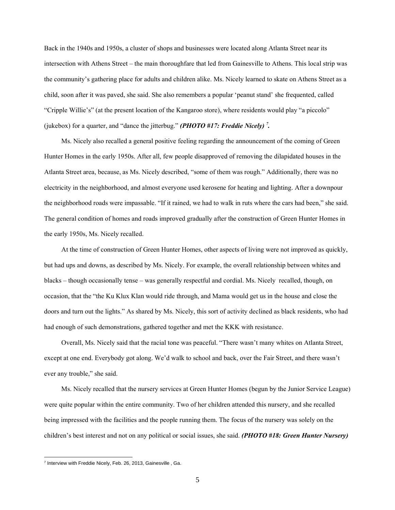Back in the 1940s and 1950s, a cluster of shops and businesses were located along Atlanta Street near its intersection with Athens Street – the main thoroughfare that led from Gainesville to Athens. This local strip was the community's gathering place for adults and children alike. Ms. Nicely learned to skate on Athens Street as a child, soon after it was paved, she said. She also remembers a popular 'peanut stand' she frequented, called "Cripple Willie's" (at the present location of the Kangaroo store), where residents would play "a piccolo" (jukebox) for a quarter, and "dance the jitterbug." *(PHOTO #17: Freddie Nicely) 7 .*

Ms. Nicely also recalled a general positive feeling regarding the announcement of the coming of Green Hunter Homes in the early 1950s. After all, few people disapproved of removing the dilapidated houses in the Atlanta Street area, because, as Ms. Nicely described, "some of them was rough." Additionally, there was no electricity in the neighborhood, and almost everyone used kerosene for heating and lighting. After a downpour the neighborhood roads were impassable. "If it rained, we had to walk in ruts where the cars had been," she said. The general condition of homes and roads improved gradually after the construction of Green Hunter Homes in the early 1950s, Ms. Nicely recalled.

At the time of construction of Green Hunter Homes, other aspects of living were not improved as quickly, but had ups and downs, as described by Ms. Nicely. For example, the overall relationship between whites and blacks – though occasionally tense – was generally respectful and cordial. Ms. Nicely recalled, though, on occasion, that the "the Ku Klux Klan would ride through, and Mama would get us in the house and close the doors and turn out the lights." As shared by Ms. Nicely, this sort of activity declined as black residents, who had had enough of such demonstrations, gathered together and met the KKK with resistance.

Overall, Ms. Nicely said that the racial tone was peaceful. "There wasn't many whites on Atlanta Street, except at one end. Everybody got along. We'd walk to school and back, over the Fair Street, and there wasn't ever any trouble," she said.

Ms. Nicely recalled that the nursery services at Green Hunter Homes (begun by the Junior Service League) were quite popular within the entire community. Two of her children attended this nursery, and she recalled being impressed with the facilities and the people running them. The focus of the nursery was solely on the children's best interest and not on any political or social issues, she said. *(PHOTO #18: Green Hunter Nursery)*

<sup>&</sup>lt;sup>7</sup> Interview with Freddie Nicely, Feb. 26, 2013, Gainesville, Ga.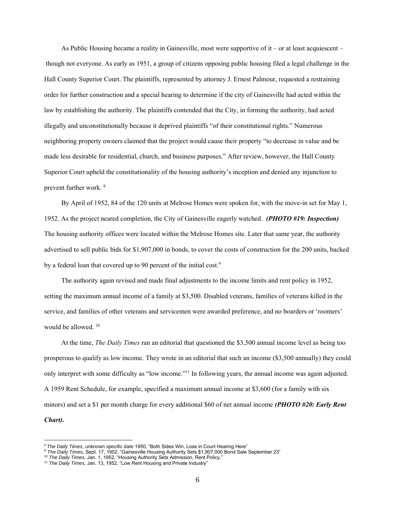As Public Housing became a reality in Gainesville, most were supportive of it – or at least acquiescent – though not everyone. As early as 1951, a group of citizens opposing public housing filed a legal challenge in the Hall County Superior Court. The plaintiffs, represented by attorney J. Ernest Palmour, requested a restraining order for further construction and a special hearing to determine if the city of Gainesville had acted within the law by establishing the authority. The plaintiffs contended that the City, in forming the authority, had acted illegally and unconstitutionally because it deprived plaintiffs "of their constitutional rights." Numerous neighboring property owners claimed that the project would cause their property "to decrease in value and be made less desirable for residential, church, and business purposes." After review, however, the Hall County Superior Court upheld the constitutionality of the housing authority's inception and denied any injunction to prevent further work. <sup>8</sup>

By April of 1952, 84 of the 120 units at Melrose Homes were spoken for, with the move-in set for May 1, 1952. As the project neared completion, the City of Gainesville eagerly watched. *(PHOTO #19: Inspection)*  The housing authority offices were located within the Melrose Homes site. Later that same year, the authority advertised to sell public bids for \$1,907,000 in bonds, to cover the costs of construction for the 200 units, backed by a federal loan that covered up to 90 percent of the initial cost.<sup>9</sup>

The authority again revised and made final adjustments to the income limits and rent policy in 1952, setting the maximum annual income of a family at \$3,500. Disabled veterans, families of veterans killed in the service, and families of other veterans and servicemen were awarded preference, and no boarders or 'roomers' would be allowed.<sup>10</sup>

At the time, *The Daily Times* ran an editorial that questioned the \$3,500 annual income level as being too prosperous to qualify as low income. They wrote in an editorial that such an income (\$3,500 annually) they could only interpret with some difficulty as "low income."<sup>11</sup> In following years, the annual income was again adjusted. A 1959 Rent Schedule, for example, specified a maximum annual income at \$3,600 (for a family with six minors) and set a \$1 per month charge for every additional \$60 of net annual income *(PHOTO #20: Early Rent Chart).*

<sup>8</sup> *The Daily Times*, unknown specific date 1950, "Both Sides Win, Lose in Court Hearing Here"

<sup>9</sup> *The Daily Times,* Sept. 17, 1952, "Gainesville Housing Authority Sets \$1,907,000 Bond Sale September 23"

<sup>10</sup> *The Daily Times,* Jan. 1, 1952, "Housing Authority Sets Admission, Rent Policy."

<sup>&</sup>lt;sup>11</sup> The Daily Times, Jan. 13, 1952, "Low Rent Housing and Private Industry"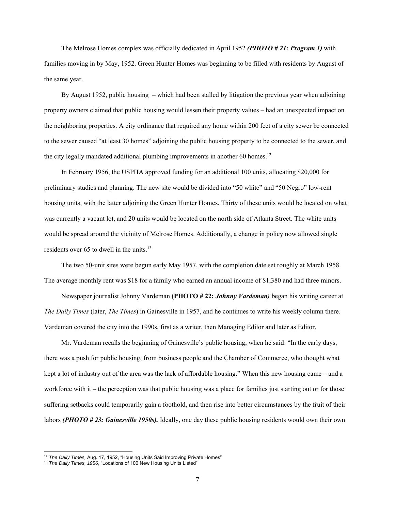The Melrose Homes complex was officially dedicated in April 1952 *(PHOTO # 21: Program 1)* with families moving in by May, 1952. Green Hunter Homes was beginning to be filled with residents by August of the same year.

By August 1952, public housing – which had been stalled by litigation the previous year when adjoining property owners claimed that public housing would lessen their property values – had an unexpected impact on the neighboring properties. A city ordinance that required any home within 200 feet of a city sewer be connected to the sewer caused "at least 30 homes" adjoining the public housing property to be connected to the sewer, and the city legally mandated additional plumbing improvements in another 60 homes.<sup>12</sup>

In February 1956, the USPHA approved funding for an additional 100 units, allocating \$20,000 for preliminary studies and planning. The new site would be divided into "50 white" and "50 Negro" low-rent housing units, with the latter adjoining the Green Hunter Homes. Thirty of these units would be located on what was currently a vacant lot, and 20 units would be located on the north side of Atlanta Street. The white units would be spread around the vicinity of Melrose Homes. Additionally, a change in policy now allowed single residents over 65 to dwell in the units.<sup>13</sup>

The two 50-unit sites were begun early May 1957, with the completion date set roughly at March 1958. The average monthly rent was \$18 for a family who earned an annual income of \$1,380 and had three minors.

Newspaper journalist Johnny Vardeman **(PHOTO # 22:** *Johnny Vardeman)* began his writing career at *The Daily Times* (later, *The Times*) in Gainesville in 1957, and he continues to write his weekly column there. Vardeman covered the city into the 1990s, first as a writer, then Managing Editor and later as Editor.

Mr. Vardeman recalls the beginning of Gainesville's public housing, when he said: "In the early days, there was a push for public housing, from business people and the Chamber of Commerce, who thought what kept a lot of industry out of the area was the lack of affordable housing." When this new housing came – and a workforce with it – the perception was that public housing was a place for families just starting out or for those suffering setbacks could temporarily gain a foothold, and then rise into better circumstances by the fruit of their labors *(PHOTO # 23: Gainesville 1950s).* Ideally, one day these public housing residents would own their own

<sup>&</sup>lt;sup>12</sup> The Daily Times, Aug. 17, 1952, "Housing Units Said Improving Private Homes"

<sup>&</sup>lt;sup>13</sup> The Daily Times, 1956, "Locations of 100 New Housing Units Listed"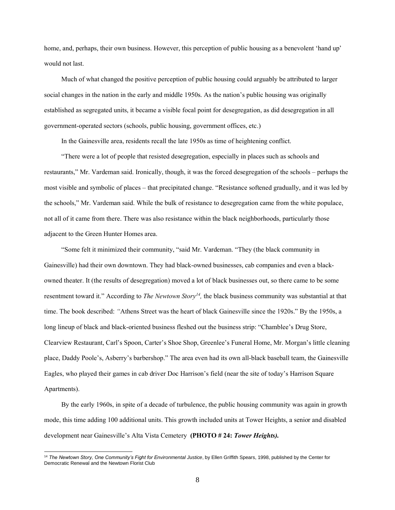home, and, perhaps, their own business. However, this perception of public housing as a benevolent 'hand up' would not last.

Much of what changed the positive perception of public housing could arguably be attributed to larger social changes in the nation in the early and middle 1950s. As the nation's public housing was originally established as segregated units, it became a visible focal point for desegregation, as did desegregation in all government-operated sectors (schools, public housing, government offices, etc.)

In the Gainesville area, residents recall the late 1950s as time of heightening conflict.

"There were a lot of people that resisted desegregation, especially in places such as schools and restaurants," Mr. Vardeman said. Ironically, though, it was the forced desegregation of the schools – perhaps the most visible and symbolic of places – that precipitated change. "Resistance softened gradually, and it was led by the schools," Mr. Vardeman said. While the bulk of resistance to desegregation came from the white populace, not all of it came from there. There was also resistance within the black neighborhoods, particularly those adjacent to the Green Hunter Homes area.

"Some felt it minimized their community, "said Mr. Vardeman. "They (the black community in Gainesville) had their own downtown. They had black-owned businesses, cab companies and even a blackowned theater. It (the results of desegregation) moved a lot of black businesses out, so there came to be some resentment toward it." According to *The Newtown Story<sup>14</sup>*, the black business community was substantial at that time. The book described: *"*Athens Street was the heart of black Gainesville since the 1920s." By the 1950s, a long lineup of black and black-oriented business fleshed out the business strip: "Chamblee's Drug Store, Clearview Restaurant, Carl's Spoon, Carter's Shoe Shop, Greenlee's Funeral Home, Mr. Morgan's little cleaning place, Daddy Poole's, Asberry's barbershop." The area even had its own all-black baseball team, the Gainesville Eagles, who played their games in cab driver Doc Harrison's field (near the site of today's Harrison Square Apartments).

By the early 1960s, in spite of a decade of turbulence, the public housing community was again in growth mode, this time adding 100 additional units. This growth included units at Tower Heights, a senior and disabled development near Gainesville's Alta Vista Cemetery **(PHOTO # 24:** *Tower Heights).*

<sup>14</sup> *The Newtown Story, One Community's Fight for Environmental Justice*, by Ellen Griffith Spears, 1998, published by the Center for Democratic Renewal and the Newtown Florist Club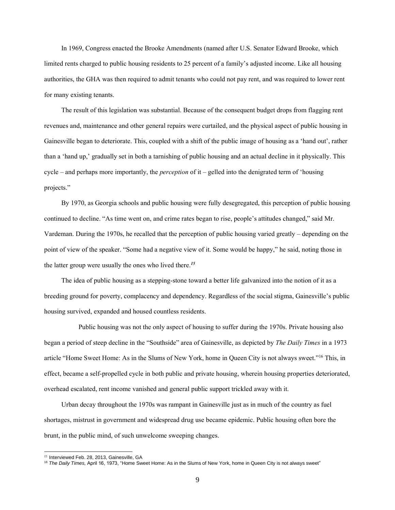In 1969, Congress enacted the Brooke Amendments (named after U.S. Senator Edward Brooke, which limited rents charged to public housing residents to 25 percent of a family's adjusted income. Like all housing authorities, the GHA was then required to admit tenants who could not pay rent, and was required to lower rent for many existing tenants.

The result of this legislation was substantial. Because of the consequent budget drops from flagging rent revenues and, maintenance and other general repairs were curtailed, and the physical aspect of public housing in Gainesville began to deteriorate. This, coupled with a shift of the public image of housing as a 'hand out', rather than a 'hand up,' gradually set in both a tarnishing of public housing and an actual decline in it physically. This cycle – and perhaps more importantly, the *perception* of it – gelled into the denigrated term of 'housing projects."

By 1970, as Georgia schools and public housing were fully desegregated, this perception of public housing continued to decline. "As time went on, and crime rates began to rise, people's attitudes changed," said Mr. Vardeman. During the 1970s, he recalled that the perception of public housing varied greatly – depending on the point of view of the speaker. "Some had a negative view of it. Some would be happy," he said, noting those in the latter group were usually the ones who lived there.*<sup>15</sup>*

The idea of public housing as a stepping-stone toward a better life galvanized into the notion of it as a breeding ground for poverty, complacency and dependency. Regardless of the social stigma, Gainesville's public housing survived, expanded and housed countless residents.

Public housing was not the only aspect of housing to suffer during the 1970s. Private housing also began a period of steep decline in the "Southside" area of Gainesville, as depicted by *The Daily Times* in a 1973 article "Home Sweet Home: As in the Slums of New York, home in Queen City is not always sweet."<sup>16</sup> This, in effect, became a self-propelled cycle in both public and private housing, wherein housing properties deteriorated, overhead escalated, rent income vanished and general public support trickled away with it.

Urban decay throughout the 1970s was rampant in Gainesville just as in much of the country as fuel shortages, mistrust in government and widespread drug use became epidemic. Public housing often bore the brunt, in the public mind, of such unwelcome sweeping changes.

<sup>&</sup>lt;sup>15</sup> Interviewed Feb. 28, 2013, Gainesville, GA

<sup>16</sup> *The Daily Times,* April 16, 1973, "Home Sweet Home: As in the Slums of New York, home in Queen City is not always sweet"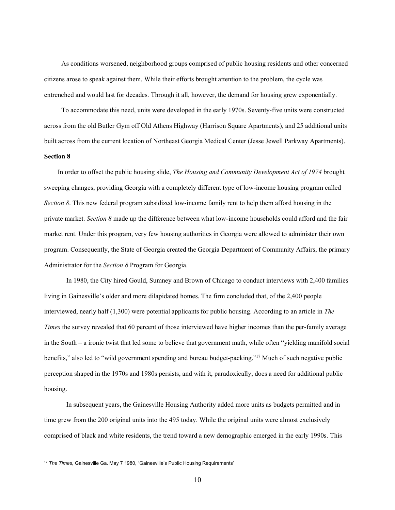As conditions worsened, neighborhood groups comprised of public housing residents and other concerned citizens arose to speak against them. While their efforts brought attention to the problem, the cycle was entrenched and would last for decades. Through it all, however, the demand for housing grew exponentially.

To accommodate this need, units were developed in the early 1970s. Seventy-five units were constructed across from the old Butler Gym off Old Athens Highway (Harrison Square Apartments), and 25 additional units built across from the current location of Northeast Georgia Medical Center (Jesse Jewell Parkway Apartments). **Section 8**

### In order to offset the public housing slide, *The Housing and Community Development Act of 1974* brought sweeping changes, providing Georgia with a completely different type of low-income housing program called *Section 8*. This new federal program subsidized low-income family rent to help them afford housing in the private market. *Section 8* made up the difference between what low-income households could afford and the fair market rent. Under this program, very few housing authorities in Georgia were allowed to administer their own program. Consequently, the State of Georgia created the Georgia Department of Community Affairs, the primary Administrator for the *Section 8* Program for Georgia.

In 1980, the City hired Gould, Sumney and Brown of Chicago to conduct interviews with 2,400 families living in Gainesville's older and more dilapidated homes. The firm concluded that, of the 2,400 people interviewed, nearly half (1,300) were potential applicants for public housing. According to an article in *The Times* the survey revealed that 60 percent of those interviewed have higher incomes than the per-family average in the South – a ironic twist that led some to believe that government math, while often "yielding manifold social benefits," also led to "wild government spending and bureau budget-packing."<sup>17</sup> Much of such negative public perception shaped in the 1970s and 1980s persists, and with it, paradoxically, does a need for additional public housing.

In subsequent years, the Gainesville Housing Authority added more units as budgets permitted and in time grew from the 200 original units into the 495 today. While the original units were almost exclusively comprised of black and white residents, the trend toward a new demographic emerged in the early 1990s. This

<sup>&</sup>lt;sup>17</sup> The Times, Gainesville Ga. May 7 1980, "Gainesville's Public Housing Requirements"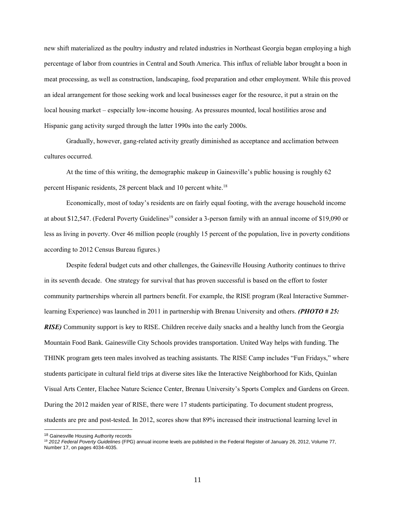new shift materialized as the poultry industry and related industries in Northeast Georgia began employing a high percentage of labor from countries in Central and South America. This influx of reliable labor brought a boon in meat processing, as well as construction, landscaping, food preparation and other employment. While this proved an ideal arrangement for those seeking work and local businesses eager for the resource, it put a strain on the local housing market – especially low-income housing. As pressures mounted, local hostilities arose and Hispanic gang activity surged through the latter 1990s into the early 2000s.

Gradually, however, gang-related activity greatly diminished as acceptance and acclimation between cultures occurred.

At the time of this writing, the demographic makeup in Gainesville's public housing is roughly 62 percent Hispanic residents, 28 percent black and 10 percent white.<sup>18</sup>

Economically, most of today's residents are on fairly equal footing, with the average household income at about \$12,547. (Federal Poverty Guidelines<sup>19</sup> consider a 3-person family with an annual income of \$19,090 or less as living in poverty. Over 46 million people (roughly 15 percent of the population, live in poverty conditions according to 2012 Census Bureau figures.)

Despite federal budget cuts and other challenges, the Gainesville Housing Authority continues to thrive in its seventh decade. One strategy for survival that has proven successful is based on the effort to foster community partnerships wherein all partners benefit. For example, the RISE program (Real Interactive Summerlearning Experience) was launched in 2011 in partnership with Brenau University and others. *(PHOTO # 25: RISE)* Community support is key to RISE. Children receive daily snacks and a healthy lunch from the Georgia Mountain Food Bank. Gainesville City Schools provides transportation. United Way helps with funding. The THINK program gets teen males involved as teaching assistants. The RISE Camp includes "Fun Fridays," where students participate in cultural field trips at diverse sites like the Interactive Neighborhood for Kids, Quinlan Visual Arts Center, Elachee Nature Science Center, Brenau University's Sports Complex and Gardens on Green. During the 2012 maiden year of RISE, there were 17 students participating. To document student progress, students are pre and post-tested. In 2012, scores show that 89% increased their instructional learning level in

<sup>&</sup>lt;sup>18</sup> Gainesville Housing Authority records

<sup>19</sup> *2012 Federal Poverty Guidelines* (FPG) annual income levels are published in the Federal Register of January 26, 2012, Volume 77, Number 17, on pages 4034-4035.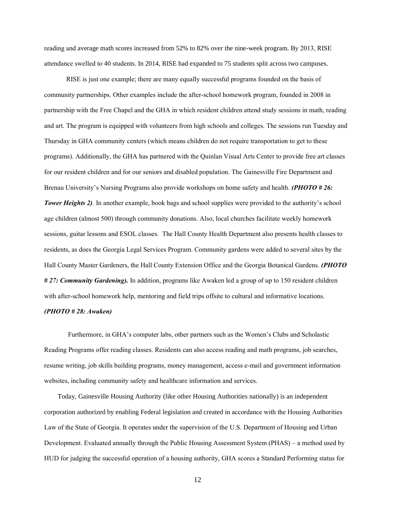reading and average math scores increased from 52% to 82% over the nine-week program. By 2013, RISE attendance swelled to 40 students. In 2014, RISE had expanded to 75 students split across two campuses.

RISE is just one example; there are many equally successful programs founded on the basis of community partnerships. Other examples include the after-school homework program, founded in 2008 in partnership with the Free Chapel and the GHA in which resident children attend study sessions in math, reading and art. The program is equipped with volunteers from high schools and colleges. The sessions run Tuesday and Thursday in GHA community centers (which means children do not require transportation to get to these programs). Additionally, the GHA has partnered with the Quinlan Visual Arts Center to provide free art classes for our resident children and for our seniors and disabled population. The Gainesville Fire Department and Brenau University's Nursing Programs also provide workshops on home safety and health. *(PHOTO # 26: Tower Heights* 2). In another example, book bags and school supplies were provided to the authority's school age children (almost 500) through community donations. Also, local churches facilitate weekly homework sessions, guitar lessons and ESOL classes. The Hall County Health Department also presents health classes to residents, as does the Georgia Legal Services Program. Community gardens were added to several sites by the Hall County Master Gardeners, the Hall County Extension Office and the Georgia Botanical Gardens. *(PHOTO # 27: Community Gardening).* In addition, programs like Awaken led a group of up to 150 resident children with after-school homework help, mentoring and field trips offsite to cultural and informative locations.

#### *(PHOTO # 28: Awaken)*

Furthermore, in GHA's computer labs, other partners such as the Women's Clubs and Scholastic Reading Programs offer reading classes. Residents can also access reading and math programs, job searches, resume writing, job skills building programs, money management, access e-mail and government information websites, including community safety and healthcare information and services.

 Today, Gainesville Housing Authority (like other Housing Authorities nationally) is an independent corporation authorized by enabling Federal legislation and created in accordance with the Housing Authorities Law of the State of Georgia. It operates under the supervision of the U.S. Department of Housing and Urban Development. Evaluated annually through the Public Housing Assessment System (PHAS) – a method used by HUD for judging the successful operation of a housing authority, GHA scores a Standard Performing status for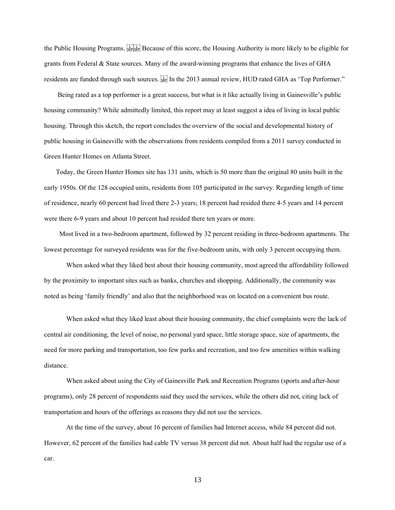the Public Housing Programs. Everyong Because of this score, the Housing Authority is more likely to be eligible for grants from Federal & State sources. Many of the award-winning programs that enhance the lives of GHA residents are funded through such sources. [II] In the 2013 annual review, HUD rated GHA as 'Top Performer."

 Being rated as a top performer is a great success, but what is it like actually living in Gainesville's public housing community? While admittedly limited, this report may at least suggest a idea of living in local public housing. Through this sketch, the report concludes the overview of the social and developmental history of public housing in Gainesville with the observations from residents compiled from a 2011 survey conducted in Green Hunter Homes on Atlanta Street.

 Today, the Green Hunter Homes site has 131 units, which is 50 more than the original 80 units built in the early 1950s. Of the 128 occupied units, residents from 105 participated in the survey. Regarding length of time of residence, nearly 60 percent had lived there 2-3 years; 18 percent had resided there 4-5 years and 14 percent were there 6-9 years and about 10 percent had resided there ten years or more.

 Most lived in a two-bedroom apartment, followed by 32 percent residing in three-bedroom apartments. The lowest percentage for surveyed residents was for the five-bedroom units, with only 3 percent occupying them.

When asked what they liked best about their housing community, most agreed the affordability followed by the proximity to important sites such as banks, churches and shopping. Additionally, the community was noted as being 'family friendly' and also that the neighborhood was on located on a convenient bus route.

When asked what they liked least about their housing community, the chief complaints were the lack of central air conditioning, the level of noise, no personal yard space, little storage space, size of apartments, the need for more parking and transportation, too few parks and recreation, and too few amenities within walking distance.

When asked about using the City of Gainesville Park and Recreation Programs (sports and after-hour programs), only 28 percent of respondents said they used the services, while the others did not, citing lack of transportation and hours of the offerings as reasons they did not use the services.

At the time of the survey, about 16 percent of families had Internet access, while 84 percent did not. However, 62 percent of the families had cable TV versus 38 percent did not. About half had the regular use of a car.

13